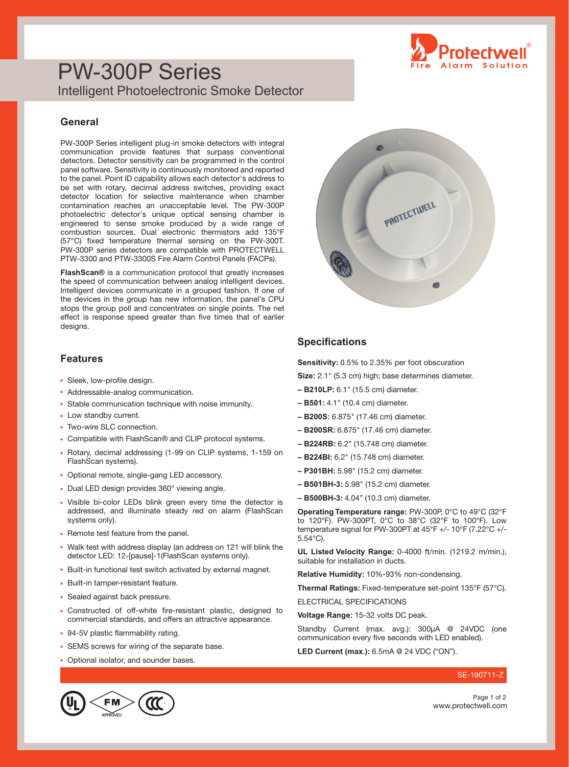

## PW-300P Series Intelligent Photoelectronic Smoke Detector

#### **General**

PW-300P Series intelligent plug-in smoke detectors with integral communication provide features that surpass conventional detectors. Detector sensitivity can be programmed in the control panel software. Sensitivity is continuously monitored and reported to the panel. Point ID capability allows each detector's address to be set with rotary, decimal address switches, providing exact detector location for selective maintenance when chamber contamination reaches an unacceptable level. The PW-300P photoelectric detector's unique optical sensing chamber is engineered to sense smoke produced by a wide range of combustion sources. Dual electronic thermistors add 135°F (57°C) fixed temperature thermal sensing on the PW-300T. PW-300P series detectors are compatible with PROTECTWELL PTW-3300 and PTW-3300S Fire Alarm Control Panels (FACPs).

**FlashScan®** is a communication protocol that greatly increases the speed of communication between analog intelligent devices. Intelligent devices communicate in a grouped fashion. If one of the devices in the group has new information, the panel's CPU stops the group poll and concentrates on single points. The net effect is response speed greater than five times that of earlier designs.

#### **Features**

- Sleek, low-profile design.
- Addressable-analog communication.
- Stable communication technique with noise immunity.
- Low standby current.
- Two-wire SLC connection.
- Compatible with FlashScan® and CLIP protocol systems.
- Rotary, decimal addressing (1-99 on CLIP systems, 1-159 on FlashScan systems).
- Optional remote, single-gang LED accessory.
- Dual LED design provides 360° viewing angle.
- Visible bi-color LEDs blink green every time the detector is addressed, and illuminate steady red on alarm (FlashScan systems only).
- Remote test feature from the panel.
- Walk test with address display (an address on 121 will blink the detector LED: 12-[pause]-1(FlashScan systems only).
- Built-in functional test switch activated by external magnet.
- Built-in tamper-resistant feature.
- Sealed against back pressure.
- Constructed of off-white fire-resistant plastic, designed to commercial standards, and offers an attractive appearance.
- 94-5V plastic flammability rating.
- SEMS screws for wiring of the separate base.
- Optional isolator, and sounder bases.



### **Specifications**

**Sensitivity:** 0.5% to 2.35% per foot obscuration

**Size:** 2.1" (5.3 cm) high; base determines diameter.

- **B210LP:** 6.1" (15.5 cm) diameter.
- **B501:** 4.1" (10.4 cm) diameter.
- **B200S:** 6.875" (17.46 cm) diameter.
- **B200SR:** 6.875" (17.46 cm) diameter.
- **B224RB:** 6.2" (15.748 cm) diameter.
- **B224BI:** 6.2" (15.748 cm) diameter.
- **P301BH:** 5.98" (15.2 cm) diameter.
- **B501BH-3:** 5.98" (15.2 cm) diameter.
- **B500BH-3:** 4.04" (10.3 cm) diameter.

**Operating Temperature range:** PW-300P, 0°C to 49°C (32°F to 120°F). PW-300PT, 0°C to 38°C (32°F to 100°F). Low temperature signal for PW-300PT at  $45^{\circ}F$  +/- 10°F (7.22°C +/-5.54°C).

**UL Listed Velocity Range:** 0-4000 ft/min. (1219.2 m/min.), suitable for installation in ducts.

**Relative Humidity:** 10%-93% non-condensing.

**Thermal Ratings:** Fixed-temperature set-point 135°F (57°C).

ELECTRICAL SPECIFICATIONS

**Voltage Range:** 15-32 volts DC peak.

Standby Current (max. avg.): 300µA @ 24VDC (one communication every five seconds with LED enabled).

**LED Current (max.):** 6.5mA @ 24 VDC ("ON").

#### SE-190711-Z



www.protectwell.com Page 1 of 2